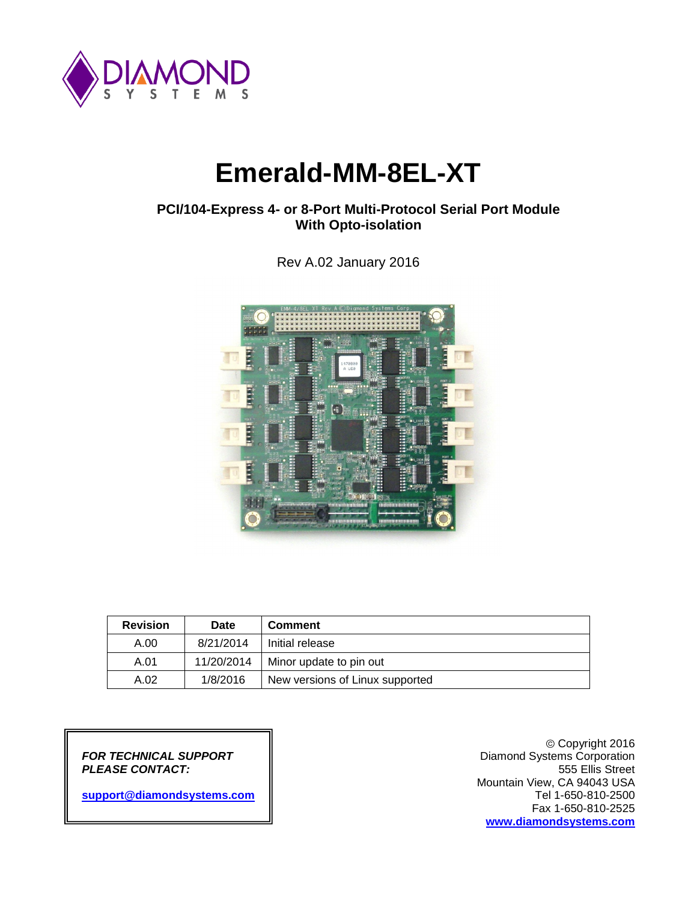

# **Emerald-MM-8EL-XT**

## **PCI/104-Express 4- or 8-Port Multi-Protocol Serial Port Module With Opto-isolation**

Rev A.02 January 2016



| <b>Revision</b> | <b>Date</b> | <b>Comment</b>                  |  |
|-----------------|-------------|---------------------------------|--|
| A.00            | 8/21/2014   | Initial release                 |  |
| A.01            | 11/20/2014  | Minor update to pin out         |  |
| A.02            | 1/8/2016    | New versions of Linux supported |  |

*FOR TECHNICAL SUPPORT* Diamond Systems Corporation **PLEASE CONTACT:** 

[support@diamondsystems.com](mailto:support@diamondsystems.com)

Copyright 2016 Mountain View, CA 94043 USA Fax 1-650-810-2525 **[www.diamondsystems.com](http://www.diamondsystems.com/)**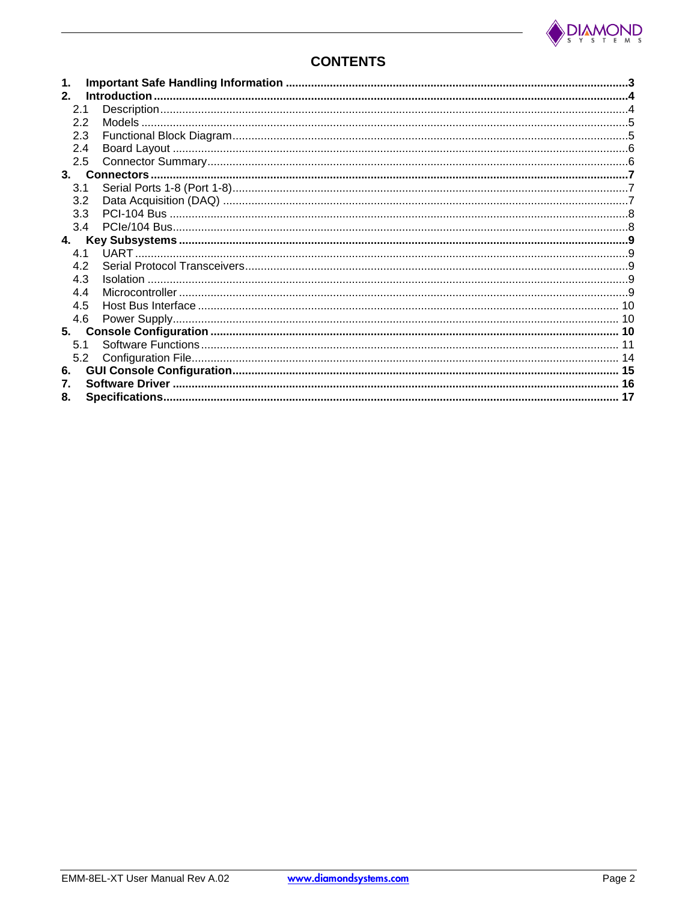

## **CONTENTS**

| 1.<br>2 <sub>1</sub> |     |  |
|----------------------|-----|--|
| 2.1                  |     |  |
| 2.2                  |     |  |
| 2.3                  |     |  |
| 2.4                  |     |  |
|                      |     |  |
| 2.5                  |     |  |
| 3.                   |     |  |
| 3.1                  |     |  |
| 3.2                  |     |  |
|                      | 3.3 |  |
|                      | 3.4 |  |
| 4.                   |     |  |
| 4.1                  |     |  |
| 4.2                  |     |  |
| 4.3                  |     |  |
| 4.4                  |     |  |
| 4.5                  |     |  |
| 4.6                  |     |  |
| 5.                   |     |  |
| 5.1                  |     |  |
|                      | 5.2 |  |
| 6.                   |     |  |
| 7.                   |     |  |
| 8.                   |     |  |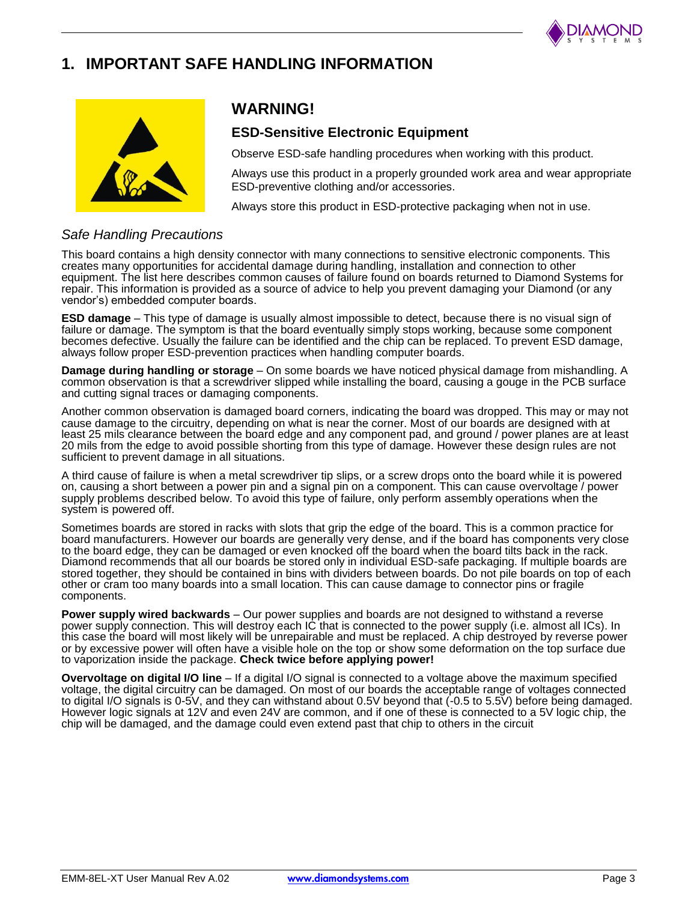

## **1. IMPORTANT SAFE HANDLING INFORMATION**



## **WARNING!**

## **ESD-Sensitive Electronic Equipment**

Observe ESD-safe handling procedures when working with this product.

Always use this product in a properly grounded work area and wear appropriate ESD-preventive clothing and/or accessories.

Always store this product in ESD-protective packaging when not in use.

## *Safe Handling Precautions*

This board contains a high density connector with many connections to sensitive electronic components. This creates many opportunities for accidental damage during handling, installation and connection to other equipment. The list here describes common causes of failure found on boards returned to Diamond Systems for repair. This information is provided as a source of advice to help you prevent damaging your Diamond (or any vendor's) embedded computer boards.

**ESD damage** – This type of damage is usually almost impossible to detect, because there is no visual sign of failure or damage. The symptom is that the board eventually simply stops working, because some component becomes defective. Usually the failure can be identified and the chip can be replaced. To prevent ESD damage, always follow proper ESD-prevention practices when handling computer boards.

**Damage during handling or storage** – On some boards we have noticed physical damage from mishandling. A common observation is that a screwdriver slipped while installing the board, causing a gouge in the PCB surface and cutting signal traces or damaging components.

Another common observation is damaged board corners, indicating the board was dropped. This may or may not cause damage to the circuitry, depending on what is near the corner. Most of our boards are designed with at least 25 mils clearance between the board edge and any component pad, and ground / power planes are at least 20 mils from the edge to avoid possible shorting from this type of damage. However these design rules are not sufficient to prevent damage in all situations.

A third cause of failure is when a metal screwdriver tip slips, or a screw drops onto the board while it is powered on, causing a short between a power pin and a signal pin on a component. This can cause overvoltage / power supply problems described below. To avoid this type of failure, only perform assembly operations when the system is powered off.

Sometimes boards are stored in racks with slots that grip the edge of the board. This is a common practice for board manufacturers. However our boards are generally very dense, and if the board has components very close to the board edge, they can be damaged or even knocked off the board when the board tilts back in the rack. Diamond recommends that all our boards be stored only in individual ESD-safe packaging. If multiple boards are stored together, they should be contained in bins with dividers between boards. Do not pile boards on top of each other or cram too many boards into a small location. This can cause damage to connector pins or fragile components.

**Power supply wired backwards** – Our power supplies and boards are not designed to withstand a reverse power supply connection. This will destroy each IC that is connected to the power supply (i.e. almost all ICs). In this case the board will most likely will be unrepairable and must be replaced. A chip destroyed by reverse power or by excessive power will often have a visible hole on the top or show some deformation on the top surface due to vaporization inside the package. **Check twice before applying power!**

**Overvoltage on digital I/O line** – If a digital I/O signal is connected to a voltage above the maximum specified voltage, the digital circuitry can be damaged. On most of our boards the acceptable range of voltages connected to digital I/O signals is 0-5V, and they can withstand about 0.5V beyond that (-0.5 to 5.5V) before being damaged. However logic signals at 12V and even 24V are common, and if one of these is connected to a 5V logic chip, the chip will be damaged, and the damage could even extend past that chip to others in the circuit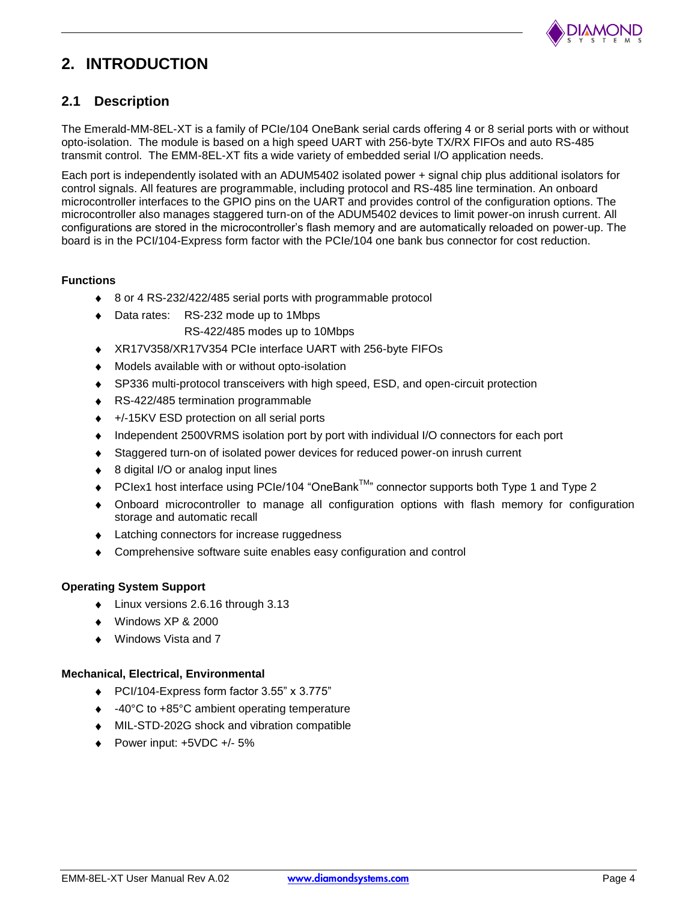

## **2. INTRODUCTION**

## **2.1 Description**

The Emerald-MM-8EL-XT is a family of PCIe/104 OneBank serial cards offering 4 or 8 serial ports with or without opto-isolation. The module is based on a high speed UART with 256-byte TX/RX FIFOs and auto RS-485 transmit control. The EMM-8EL-XT fits a wide variety of embedded serial I/O application needs.

Each port is independently isolated with an ADUM5402 isolated power + signal chip plus additional isolators for control signals. All features are programmable, including protocol and RS-485 line termination. An onboard microcontroller interfaces to the GPIO pins on the UART and provides control of the configuration options. The microcontroller also manages staggered turn-on of the ADUM5402 devices to limit power-on inrush current. All configurations are stored in the microcontroller's flash memory and are automatically reloaded on power-up. The board is in the PCI/104-Express form factor with the PCIe/104 one bank bus connector for cost reduction.

### **Functions**

- $\bullet$ 8 or 4 RS-232/422/485 serial ports with programmable protocol
- Data rates: RS-232 mode up to 1Mbps RS-422/485 modes up to 10Mbps
- XR17V358/XR17V354 PCIe interface UART with 256-byte FIFOs
- Models available with or without opto-isolation
- SP336 multi-protocol transceivers with high speed, ESD, and open-circuit protection
- RS-422/485 termination programmable
- +/-15KV ESD protection on all serial ports
- Independent 2500VRMS isolation port by port with individual I/O connectors for each port
- Staggered turn-on of isolated power devices for reduced power-on inrush current
- 8 digital I/O or analog input lines
- PCIex1 host interface using PCIe/104 "OneBank™" connector supports both Type 1 and Type 2
- Onboard microcontroller to manage all configuration options with flash memory for configuration storage and automatic recall
- Latching connectors for increase ruggedness
- Comprehensive software suite enables easy configuration and control

#### **Operating System Support**

- Linux versions 2.6.16 through 3.13
- Windows XP & 2000
- Windows Vista and 7

#### **Mechanical, Electrical, Environmental**

- PCI/104-Express form factor 3.55" x 3.775"
- -40°C to +85°C ambient operating temperature
- MIL-STD-202G shock and vibration compatible
- Power input: +5VDC +/- 5%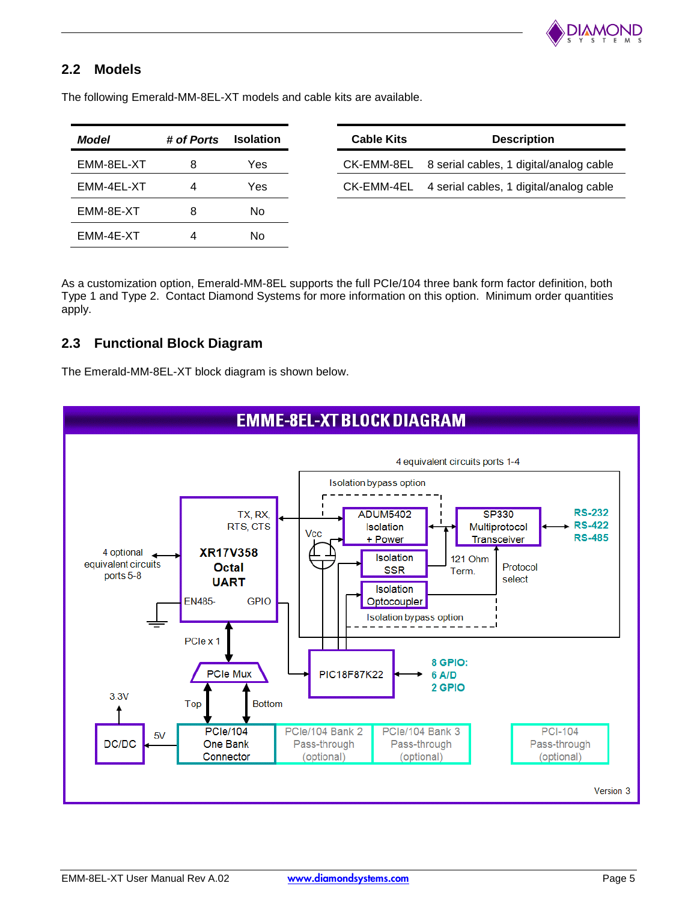

## **2.2 Models**

The following Emerald-MM-8EL-XT models and cable kits are available.

| Model      | # of Ports | <b>Isolation</b> |
|------------|------------|------------------|
| EMM-8EL-XT | 8          | Yes              |
| EMM-4EL-XT | 4          | Yes              |
| EMM-8E-XT  | 8          | No.              |
| EMM-4E-XT  | 4          | No.              |

As a customization option, Emerald-MM-8EL supports the full PCIe/104 three bank form factor definition, both Type 1 and Type 2. Contact Diamond Systems for more information on this option. Minimum order quantities apply.

## **2.3 Functional Block Diagram**

The Emerald-MM-8EL-XT block diagram is shown below.

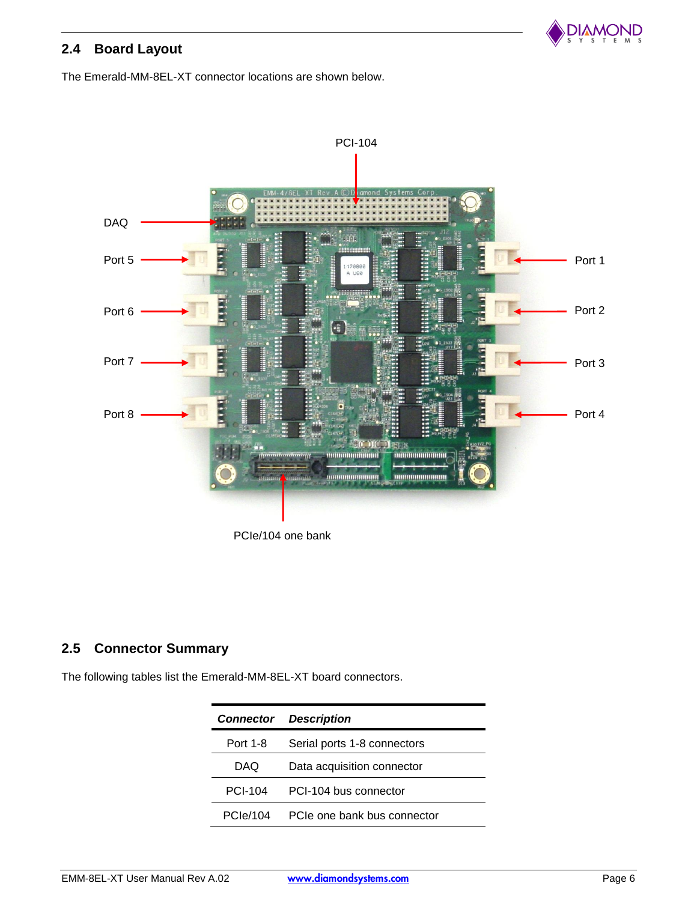

## **2.4 Board Layout**

The Emerald-MM-8EL-XT connector locations are shown below.



PCIe/104 one bank

## **2.5 Connector Summary**

The following tables list the Emerald-MM-8EL-XT board connectors.

| <b>Connector</b> | <b>Description</b>          |
|------------------|-----------------------------|
| Port 1-8         | Serial ports 1-8 connectors |
| DAQ              | Data acquisition connector  |
| PCI-104          | PCI-104 bus connector       |
| PCle/104         | PCIe one bank bus connector |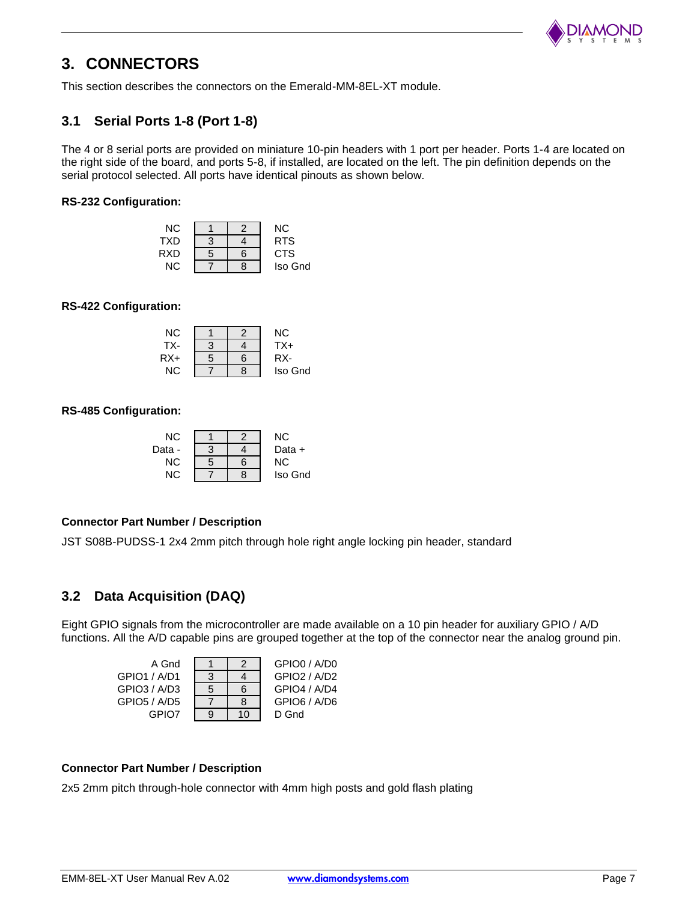

## **3. CONNECTORS**

This section describes the connectors on the Emerald-MM-8EL-XT module.

## **3.1 Serial Ports 1-8 (Port 1-8)**

The 4 or 8 serial ports are provided on miniature 10-pin headers with 1 port per header. Ports 1-4 are located on the right side of the board, and ports 5-8, if installed, are located on the left. The pin definition depends on the serial protocol selected. All ports have identical pinouts as shown below.

#### **RS-232 Configuration:**

| ΝC  |   |   | NC.        |
|-----|---|---|------------|
| TXD | З |   | <b>RTS</b> |
| RXD | 5 | 6 | <b>CTS</b> |
| NC. |   | 8 | Iso Gnd    |

#### **RS-422 Configuration:**

| ΝC  |   |   | ΝC      |
|-----|---|---|---------|
| TX- | 3 |   | $TX+$   |
| RX+ | 5 | հ | RX-     |
| ΝC  |   | 8 | Iso Gnd |

**RS-485 Configuration:**

| ΝC     |   | NC.     |
|--------|---|---------|
| Data - |   | Data +  |
| ΝC     | հ | NC.     |
| NC.    | 8 | Iso Gnd |

### **Connector Part Number / Description**

JST S08B-PUDSS-1 2x4 2mm pitch through hole right angle locking pin header, standard

### **3.2 Data Acquisition (DAQ)**

Eight GPIO signals from the microcontroller are made available on a 10 pin header for auxiliary GPIO / A/D functions. All the A/D capable pins are grouped together at the top of the connector near the analog ground pin.

| A Gnd        |   | $\mathcal{P}$ | GPIO0 / A/D0 |
|--------------|---|---------------|--------------|
| GPIO1 / A/D1 | 3 |               | GPIO2 / A/D2 |
| GPIO3 / A/D3 | 5 | 6             | GPIO4 / A/D4 |
| GPIO5 / A/D5 |   | 8             | GPIO6 / A/D6 |
| GPIO7        | g | 10            | D Gnd        |

#### **Connector Part Number / Description**

2x5 2mm pitch through-hole connector with 4mm high posts and gold flash plating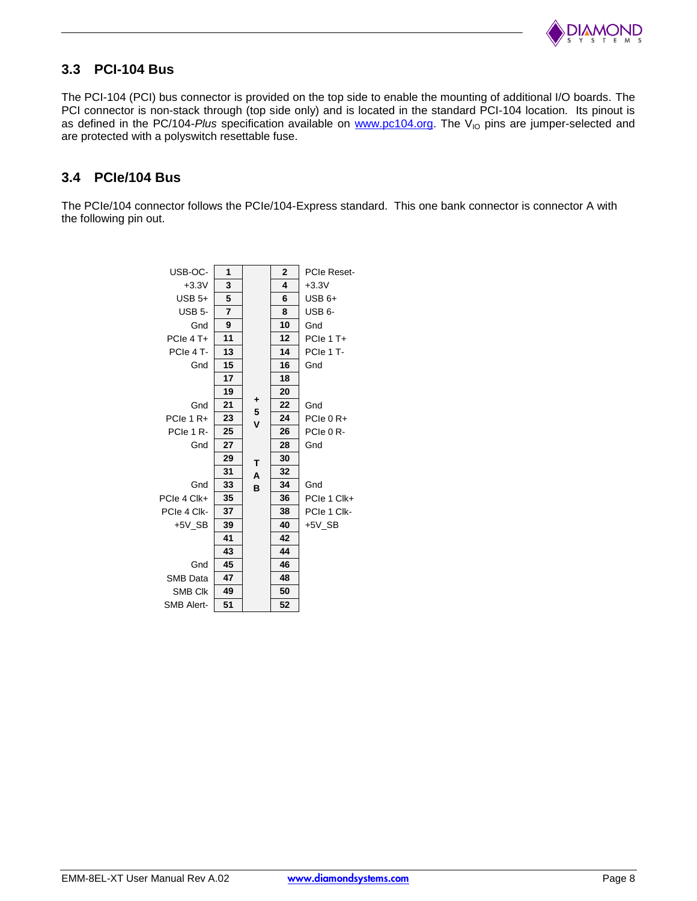

## **3.3 PCI-104 Bus**

The PCI-104 (PCI) bus connector is provided on the top side to enable the mounting of additional I/O boards. The PCI connector is non-stack through (top side only) and is located in the standard PCI-104 location. Its pinout is as defined in the PC/104-*Plus* specification available on [www.pc104.org.](http://www.pc104.org/) The V<sub>IO</sub> pins are jumper-selected and are protected with a polyswitch resettable fuse.

## **3.4 PCIe/104 Bus**

The PCIe/104 connector follows the PCIe/104-Express standard. This one bank connector is connector A with the following pin out.

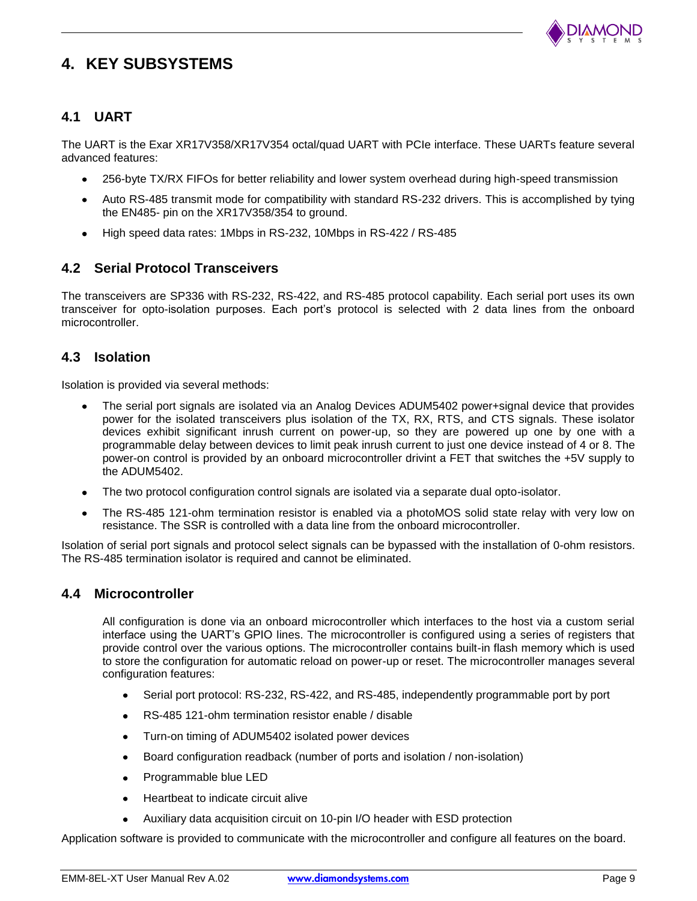

## **4. KEY SUBSYSTEMS**

## **4.1 UART**

The UART is the Exar XR17V358/XR17V354 octal/quad UART with PCIe interface. These UARTs feature several advanced features:

- 256-byte TX/RX FIFOs for better reliability and lower system overhead during high-speed transmission
- Auto RS-485 transmit mode for compatibility with standard RS-232 drivers. This is accomplished by tying  $\bullet$ the EN485- pin on the XR17V358/354 to ground.
- High speed data rates: 1Mbps in RS-232, 10Mbps in RS-422 / RS-485

## **4.2 Serial Protocol Transceivers**

The transceivers are SP336 with RS-232, RS-422, and RS-485 protocol capability. Each serial port uses its own transceiver for opto-isolation purposes. Each port's protocol is selected with 2 data lines from the onboard microcontroller.

## **4.3 Isolation**

Isolation is provided via several methods:

- The serial port signals are isolated via an Analog Devices ADUM5402 power+signal device that provides power for the isolated transceivers plus isolation of the TX, RX, RTS, and CTS signals. These isolator devices exhibit significant inrush current on power-up, so they are powered up one by one with a programmable delay between devices to limit peak inrush current to just one device instead of 4 or 8. The power-on control is provided by an onboard microcontroller drivint a FET that switches the +5V supply to the ADUM5402.
- The two protocol configuration control signals are isolated via a separate dual opto-isolator.
- The RS-485 121-ohm termination resistor is enabled via a photoMOS solid state relay with very low on resistance. The SSR is controlled with a data line from the onboard microcontroller.

Isolation of serial port signals and protocol select signals can be bypassed with the installation of 0-ohm resistors. The RS-485 termination isolator is required and cannot be eliminated.

### **4.4 Microcontroller**

All configuration is done via an onboard microcontroller which interfaces to the host via a custom serial interface using the UART's GPIO lines. The microcontroller is configured using a series of registers that provide control over the various options. The microcontroller contains built-in flash memory which is used to store the configuration for automatic reload on power-up or reset. The microcontroller manages several configuration features:

- Serial port protocol: RS-232, RS-422, and RS-485, independently programmable port by port  $\bullet$
- RS-485 121-ohm termination resistor enable / disable  $\bullet$
- Turn-on timing of ADUM5402 isolated power devices  $\bullet$
- Board configuration readback (number of ports and isolation / non-isolation)  $\bullet$
- Programmable blue LED  $\bullet$
- Heartbeat to indicate circuit alive  $\bullet$
- Auxiliary data acquisition circuit on 10-pin I/O header with ESD protection

Application software is provided to communicate with the microcontroller and configure all features on the board.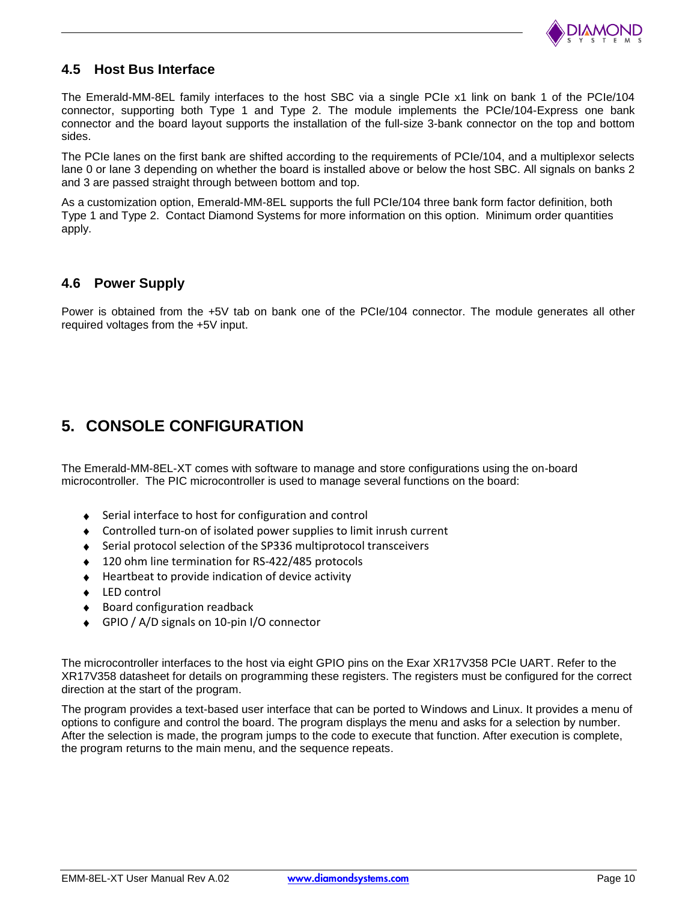

## **4.5 Host Bus Interface**

The Emerald-MM-8EL family interfaces to the host SBC via a single PCIe x1 link on bank 1 of the PCIe/104 connector, supporting both Type 1 and Type 2. The module implements the PCIe/104-Express one bank connector and the board layout supports the installation of the full-size 3-bank connector on the top and bottom sides.

The PCIe lanes on the first bank are shifted according to the requirements of PCIe/104, and a multiplexor selects lane 0 or lane 3 depending on whether the board is installed above or below the host SBC. All signals on banks 2 and 3 are passed straight through between bottom and top.

As a customization option, Emerald-MM-8EL supports the full PCIe/104 three bank form factor definition, both Type 1 and Type 2. Contact Diamond Systems for more information on this option. Minimum order quantities apply.

## **4.6 Power Supply**

Power is obtained from the +5V tab on bank one of the PCIe/104 connector. The module generates all other required voltages from the +5V input.

## **5. CONSOLE CONFIGURATION**

The Emerald-MM-8EL-XT comes with software to manage and store configurations using the on-board microcontroller. The PIC microcontroller is used to manage several functions on the board:

- ◆ Serial interface to host for configuration and control
- Controlled turn-on of isolated power supplies to limit inrush current
- Serial protocol selection of the SP336 multiprotocol transceivers
- ◆ 120 ohm line termination for RS-422/485 protocols
- $\triangleleft$  Heartbeat to provide indication of device activity
- LED control  $\bullet$
- Board configuration readback  $\bullet$
- GPIO / A/D signals on 10-pin I/O connector

The microcontroller interfaces to the host via eight GPIO pins on the Exar XR17V358 PCIe UART. Refer to the XR17V358 datasheet for details on programming these registers. The registers must be configured for the correct direction at the start of the program.

The program provides a text-based user interface that can be ported to Windows and Linux. It provides a menu of options to configure and control the board. The program displays the menu and asks for a selection by number. After the selection is made, the program jumps to the code to execute that function. After execution is complete, the program returns to the main menu, and the sequence repeats.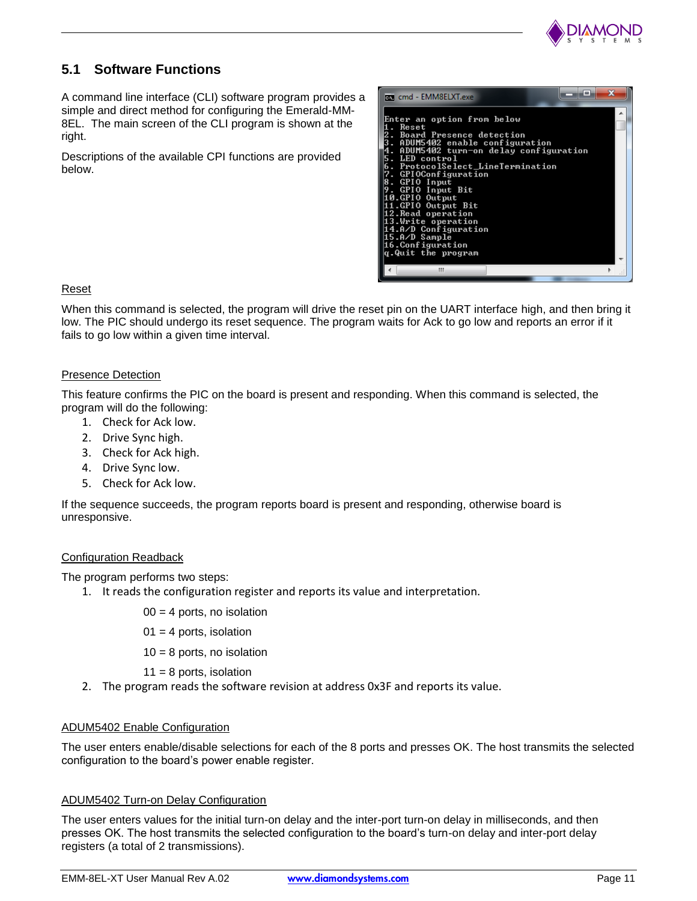

## **5.1 Software Functions**

A command line interface (CLI) software program provides a simple and direct method for configuring the Emerald-MM-8EL. The main screen of the CLI program is shown at the right.

Descriptions of the available CPI functions are provided below.

| <b>FEW cmd - EMM8ELXT.exe</b>                                                                                                                                                                                                                                                                                                       | x |  |
|-------------------------------------------------------------------------------------------------------------------------------------------------------------------------------------------------------------------------------------------------------------------------------------------------------------------------------------|---|--|
| Enter an option from below<br>. Reset<br><b>2. Board Presence detection</b><br>ADUM5402 enable configuration<br>ADUM5402 turn-on delay configuration<br>5. LED control<br>. ProtocolSelect_LineTermination<br>7. GPIOConfiguration<br>. GPIO Input<br>. GPIO Input Bit<br>10.GPIO Output<br>11.GPIO Output Bit<br>12.Read operation |   |  |
| 13.Write operation<br>14.A/D Configuration<br>15.A/D Sample<br>16.Configuration<br>q.Quit the program                                                                                                                                                                                                                               |   |  |
| ш                                                                                                                                                                                                                                                                                                                                   |   |  |

### Reset

When this command is selected, the program will drive the reset pin on the UART interface high, and then bring it low. The PIC should undergo its reset sequence. The program waits for Ack to go low and reports an error if it fails to go low within a given time interval.

### Presence Detection

This feature confirms the PIC on the board is present and responding. When this command is selected, the program will do the following:

- 1. Check for Ack low.
- 2. Drive Sync high.
- 3. Check for Ack high.
- 4. Drive Sync low.
- 5. Check for Ack low.

If the sequence succeeds, the program reports board is present and responding, otherwise board is unresponsive.

### Configuration Readback

The program performs two steps:

- 1. It reads the configuration register and reports its value and interpretation.
	- $00 = 4$  ports, no isolation
	- $01 = 4$  ports, isolation
	- $10 = 8$  ports, no isolation
	- $11 = 8$  ports, isolation
- 2. The program reads the software revision at address 0x3F and reports its value.

### ADUM5402 Enable Configuration

The user enters enable/disable selections for each of the 8 ports and presses OK. The host transmits the selected configuration to the board's power enable register.

### ADUM5402 Turn-on Delay Configuration

The user enters values for the initial turn-on delay and the inter-port turn-on delay in milliseconds, and then presses OK. The host transmits the selected configuration to the board's turn-on delay and inter-port delay registers (a total of 2 transmissions).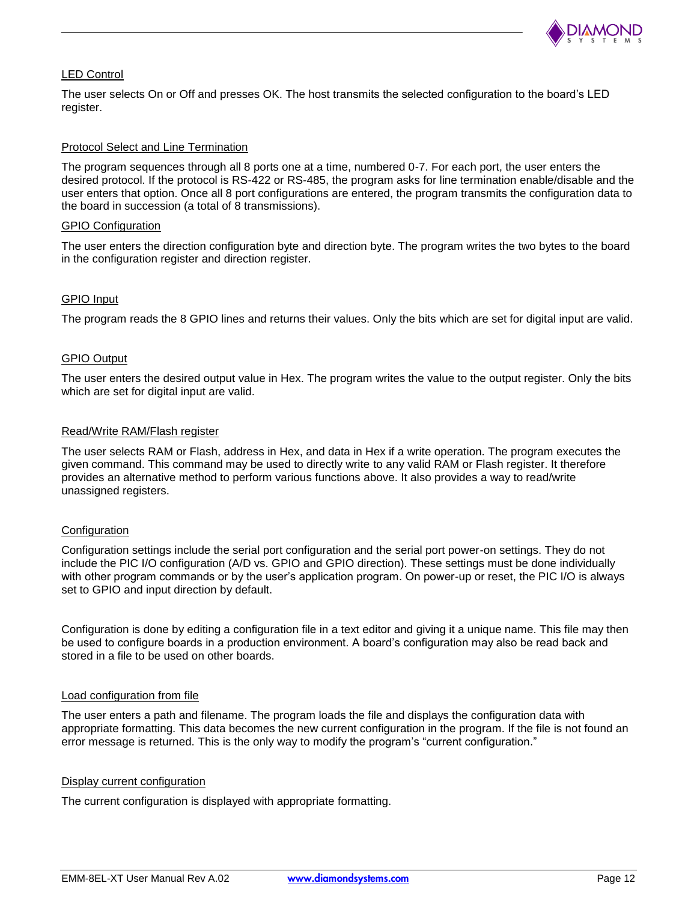

#### LED Control

The user selects On or Off and presses OK. The host transmits the selected configuration to the board's LED register.

#### Protocol Select and Line Termination

The program sequences through all 8 ports one at a time, numbered 0-7. For each port, the user enters the desired protocol. If the protocol is RS-422 or RS-485, the program asks for line termination enable/disable and the user enters that option. Once all 8 port configurations are entered, the program transmits the configuration data to the board in succession (a total of 8 transmissions).

#### GPIO Configuration

The user enters the direction configuration byte and direction byte. The program writes the two bytes to the board in the configuration register and direction register.

#### GPIO Input

The program reads the 8 GPIO lines and returns their values. Only the bits which are set for digital input are valid.

#### GPIO Output

The user enters the desired output value in Hex. The program writes the value to the output register. Only the bits which are set for digital input are valid.

#### Read/Write RAM/Flash register

The user selects RAM or Flash, address in Hex, and data in Hex if a write operation. The program executes the given command. This command may be used to directly write to any valid RAM or Flash register. It therefore provides an alternative method to perform various functions above. It also provides a way to read/write unassigned registers.

#### **Configuration**

Configuration settings include the serial port configuration and the serial port power-on settings. They do not include the PIC I/O configuration (A/D vs. GPIO and GPIO direction). These settings must be done individually with other program commands or by the user's application program. On power-up or reset, the PIC I/O is always set to GPIO and input direction by default.

Configuration is done by editing a configuration file in a text editor and giving it a unique name. This file may then be used to configure boards in a production environment. A board's configuration may also be read back and stored in a file to be used on other boards.

#### Load configuration from file

The user enters a path and filename. The program loads the file and displays the configuration data with appropriate formatting. This data becomes the new current configuration in the program. If the file is not found an error message is returned. This is the only way to modify the program's "current configuration."

#### Display current configuration

The current configuration is displayed with appropriate formatting.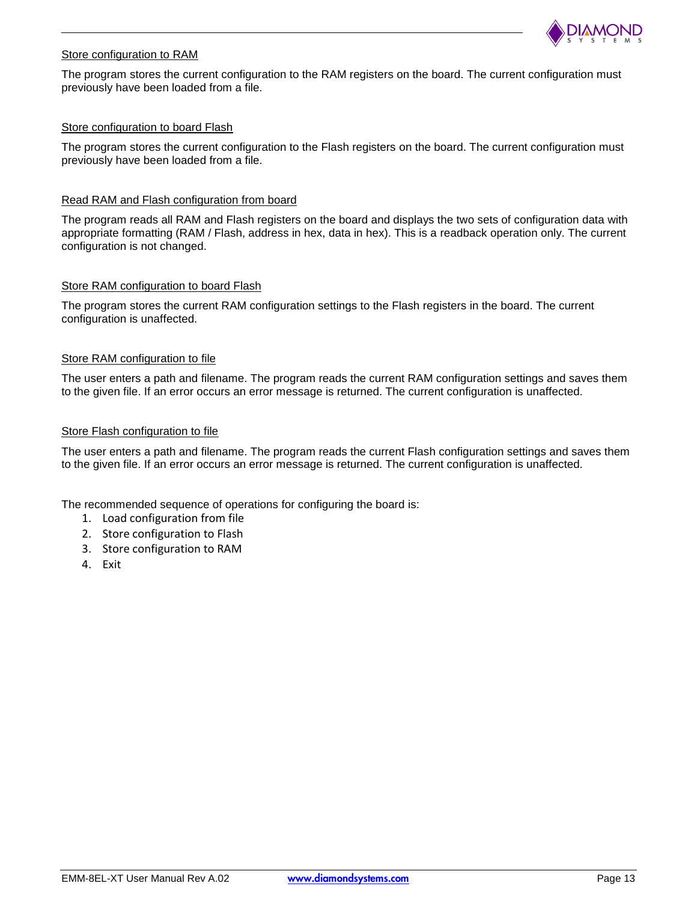

#### Store configuration to RAM

The program stores the current configuration to the RAM registers on the board. The current configuration must previously have been loaded from a file.

#### Store configuration to board Flash

The program stores the current configuration to the Flash registers on the board. The current configuration must previously have been loaded from a file.

#### Read RAM and Flash configuration from board

The program reads all RAM and Flash registers on the board and displays the two sets of configuration data with appropriate formatting (RAM / Flash, address in hex, data in hex). This is a readback operation only. The current configuration is not changed.

#### Store RAM configuration to board Flash

The program stores the current RAM configuration settings to the Flash registers in the board. The current configuration is unaffected.

#### Store RAM configuration to file

The user enters a path and filename. The program reads the current RAM configuration settings and saves them to the given file. If an error occurs an error message is returned. The current configuration is unaffected.

#### Store Flash configuration to file

The user enters a path and filename. The program reads the current Flash configuration settings and saves them to the given file. If an error occurs an error message is returned. The current configuration is unaffected.

The recommended sequence of operations for configuring the board is:

- 1. Load configuration from file
- 2. Store configuration to Flash
- 3. Store configuration to RAM
- 4. Exit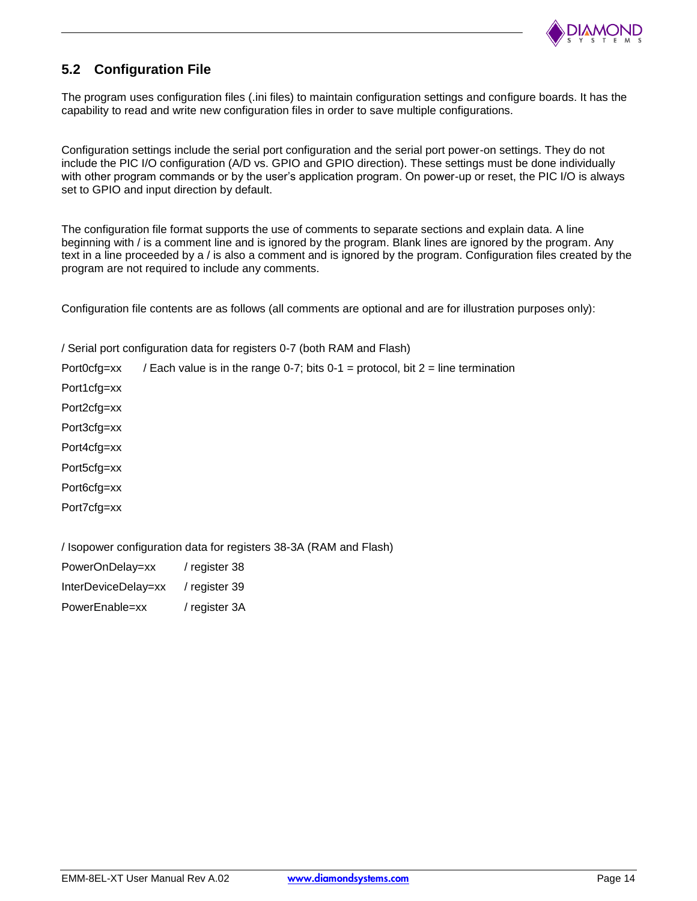

## **5.2 Configuration File**

The program uses configuration files (.ini files) to maintain configuration settings and configure boards. It has the capability to read and write new configuration files in order to save multiple configurations.

Configuration settings include the serial port configuration and the serial port power-on settings. They do not include the PIC I/O configuration (A/D vs. GPIO and GPIO direction). These settings must be done individually with other program commands or by the user's application program. On power-up or reset, the PIC I/O is always set to GPIO and input direction by default.

The configuration file format supports the use of comments to separate sections and explain data. A line beginning with / is a comment line and is ignored by the program. Blank lines are ignored by the program. Any text in a line proceeded by a / is also a comment and is ignored by the program. Configuration files created by the program are not required to include any comments.

Configuration file contents are as follows (all comments are optional and are for illustration purposes only):

/ Serial port configuration data for registers 0-7 (both RAM and Flash)

Port0cfg=xx / Each value is in the range 0-7; bits  $0-1$  = protocol, bit  $2$  = line termination

Port1cfg=xx

Port2cfg=xx

Port3cfg=xx

Port4cfg=xx

Port5cfg=xx

Port6cfg=xx

Port7cfg=xx

/ Isopower configuration data for registers 38-3A (RAM and Flash)

| PowerOnDelay=xx     | / register 38 |
|---------------------|---------------|
| InterDeviceDelay=xx | / register 39 |
| PowerEnable=xx      | / register 3A |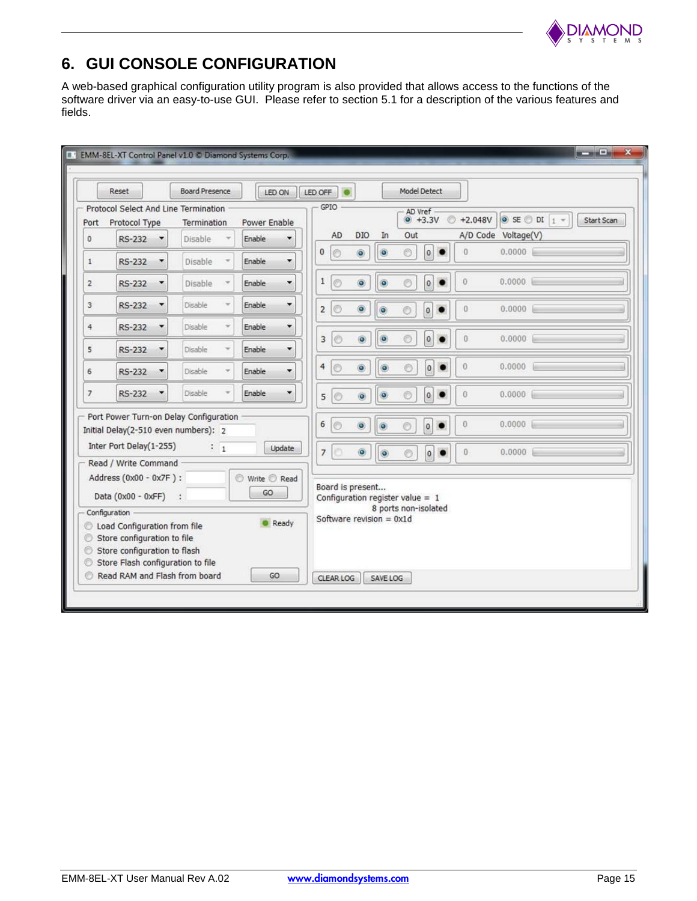

## **6. GUI CONSOLE CONFIGURATION**

A web-based graphical configuration utility program is also provided that allows access to the functions of the software driver via an easy-to-use GUI. Please refer to section 5.1 for a description of the various features and fields.

|                | Reset                                                                                                                                                                                                                          | <b>Board Presence</b> | LED ON                             | LED OFF                                       |                                                                                      | <b>Model Detect</b>                                    |                      |                             |            |
|----------------|--------------------------------------------------------------------------------------------------------------------------------------------------------------------------------------------------------------------------------|-----------------------|------------------------------------|-----------------------------------------------|--------------------------------------------------------------------------------------|--------------------------------------------------------|----------------------|-----------------------------|------------|
| Port           | Protocol Select And Line Termination<br>Protocol Type                                                                                                                                                                          | Termination           | Power Enable                       | GPIO                                          |                                                                                      | AD Vref<br>$\circ$<br>$^{\circ}$ +3.3V                 | $+2.048V$            | $\circ$ SE $\circ$ DI $1$ - | Start Scan |
| $\circ$        | <b>RS-232</b><br>$\overline{\phantom{a}}$                                                                                                                                                                                      | Disable               | Enable                             | AD                                            | DIO<br>In                                                                            | Out                                                    |                      | A/D Code Voltage(V)         |            |
| $\mathbf{1}$   | RS-232<br>$\overline{\phantom{a}}$                                                                                                                                                                                             | Disable               | Enable<br>$\overline{\phantom{a}}$ | $\circ$<br>0                                  | $\circ$<br>$\circledcirc$                                                            | $\circ$<br>$\vert$ 0<br>$\bullet$                      | $\ddot{\mathbf{0}}$  | 0.0000                      |            |
| $\overline{2}$ | <b>RS-232</b><br>$\overline{\phantom{a}}$                                                                                                                                                                                      | Disable               | Enable<br>۰                        | $\mathbf{1}$<br>$\circ$                       | $\circledcirc$<br>$\bullet$                                                          | $\circ$<br>$\pmb{0}$                                   | $\overline{0}$       | 0.0000                      |            |
| 3              | <b>RS-232</b><br>$\overline{\phantom{a}}$                                                                                                                                                                                      | Disable               | Enable<br>۰                        | $\circ$<br>$\overline{2}$                     | $\circledcirc$<br>$\bullet$                                                          | 0<br>$\circledcirc$<br>$\bullet$                       | $\bf{0}$             | 0.0000                      |            |
| 4              | <b>RS-232</b><br>٠                                                                                                                                                                                                             | Disable               | Enable<br>۰                        | $\circ$<br>3                                  | $\ddot{\bullet}$<br>$\bullet$                                                        | $\circledcirc$<br>$\mathbf 0$<br>$\bullet$             | $\theta$             | 0.0000                      |            |
| 5              | RS-232<br>$\overline{\phantom{a}}$                                                                                                                                                                                             | Disable               | <b>Enable</b><br>۰                 |                                               |                                                                                      |                                                        |                      |                             |            |
| 6              | RS-232<br>×                                                                                                                                                                                                                    | Disable               | Enable<br>۰                        | $\overline{4}$<br>$\circ$                     | $\ddot{\bullet}$<br>$\bullet$                                                        | $\vert$ 0<br>$\circ$<br>$\bullet$                      | $\theta$             | 0.0000                      |            |
| 7              | RS-232<br>۰                                                                                                                                                                                                                    | Disable               | Enable<br>۰                        | $\circ$<br>5                                  | $\ddot{\bullet}$<br>$\bullet$                                                        | $\circ$<br>$\overline{0}$<br>$\bullet$                 | $\bf{0}$             | 0.0000                      |            |
|                | Port Power Turn-on Delay Configuration<br>Initial Delay(2-510 even numbers): 2<br>Inter Port Delay(1-255)                                                                                                                      | $\frac{1}{1}$         | Update                             | 6<br>$\circ$<br>ö<br>$\overline{\phantom{a}}$ | $\circledcirc$<br>$\ddot{\mathbf{O}}$<br>$\bullet$<br>$\ddot{\bullet}$               | $\circ$<br>$\mathbf{0}$<br>$\vert$ 0<br>$\circledcirc$ | $\theta$<br>$\bf{0}$ | 0.0000<br>0.0000            |            |
| O<br>O.<br>⊙.  | Read / Write Command<br>Address (0x00 - 0x7F) :<br>Data (0x00 - 0xFF) :<br>Configuration<br>C Load Configuration from file<br>Store configuration to file<br>Store configuration to flash<br>Store Flash configuration to file |                       | Write C Read<br>GO<br>Ready        |                                               | Board is present<br>Configuration register value = $1$<br>Software revision = $0x1d$ | 8 ports non-isolated                                   |                      |                             |            |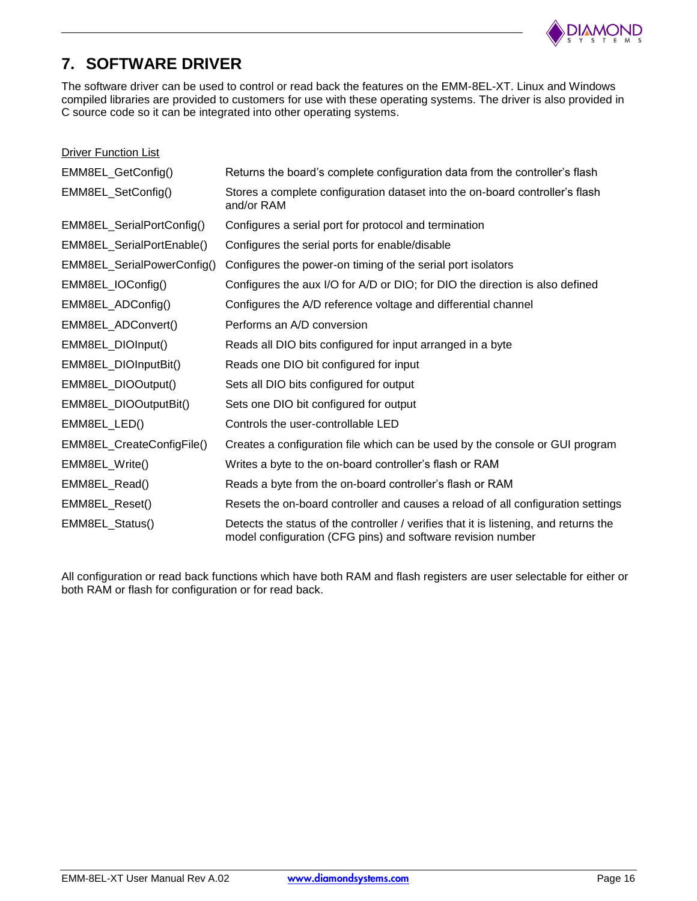

## **7. SOFTWARE DRIVER**

The software driver can be used to control or read back the features on the EMM-8EL-XT. Linux and Windows compiled libraries are provided to customers for use with these operating systems. The driver is also provided in C source code so it can be integrated into other operating systems.

| <b>Driver Function List</b> |                                                                                                                                                      |
|-----------------------------|------------------------------------------------------------------------------------------------------------------------------------------------------|
| EMM8EL_GetConfig()          | Returns the board's complete configuration data from the controller's flash                                                                          |
| EMM8EL_SetConfig()          | Stores a complete configuration dataset into the on-board controller's flash<br>and/or RAM                                                           |
| EMM8EL_SerialPortConfig()   | Configures a serial port for protocol and termination                                                                                                |
| EMM8EL_SerialPortEnable()   | Configures the serial ports for enable/disable                                                                                                       |
| EMM8EL_SerialPowerConfig()  | Configures the power-on timing of the serial port isolators                                                                                          |
| EMM8EL_IOConfig()           | Configures the aux I/O for A/D or DIO; for DIO the direction is also defined                                                                         |
| EMM8EL_ADConfig()           | Configures the A/D reference voltage and differential channel                                                                                        |
| EMM8EL_ADConvert()          | Performs an A/D conversion                                                                                                                           |
| EMM8EL_DIOInput()           | Reads all DIO bits configured for input arranged in a byte                                                                                           |
| EMM8EL_DIOInputBit()        | Reads one DIO bit configured for input                                                                                                               |
| EMM8EL_DIOOutput()          | Sets all DIO bits configured for output                                                                                                              |
| EMM8EL_DIOOutputBit()       | Sets one DIO bit configured for output                                                                                                               |
| EMM8EL_LED()                | Controls the user-controllable LED                                                                                                                   |
| EMM8EL_CreateConfigFile()   | Creates a configuration file which can be used by the console or GUI program                                                                         |
| EMM8EL_Write()              | Writes a byte to the on-board controller's flash or RAM                                                                                              |
| EMM8EL_Read()               | Reads a byte from the on-board controller's flash or RAM                                                                                             |
| EMM8EL_Reset()              | Resets the on-board controller and causes a reload of all configuration settings                                                                     |
| EMM8EL_Status()             | Detects the status of the controller / verifies that it is listening, and returns the<br>model configuration (CFG pins) and software revision number |

All configuration or read back functions which have both RAM and flash registers are user selectable for either or both RAM or flash for configuration or for read back.